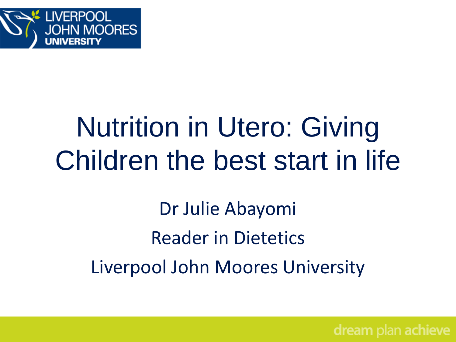

# Nutrition in Utero: Giving Children the best start in life

Dr Julie Abayomi Reader in Dietetics Liverpool John Moores University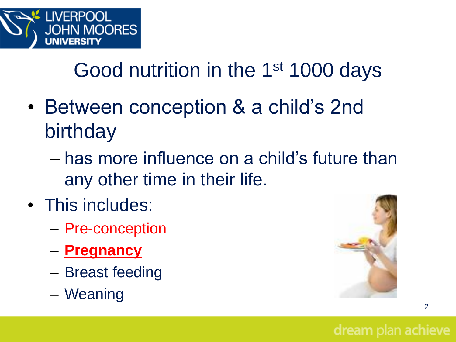

### Good nutrition in the 1<sup>st</sup> 1000 days

- Between conception & a child's 2nd birthday
	- has more influence on a child's future than any other time in their life.
- This includes:
	- Pre-conception
	- **Pregnancy**
	- Breast feeding
	- Weaning

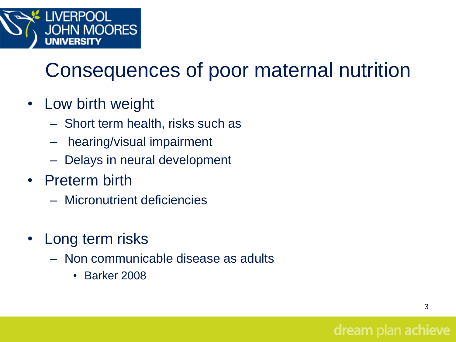

### Consequences of poor maternal nutrition

- Low birth weight
	- Short term health, risks such as
	- hearing/visual impairment
	- Delays in neural development
- Preterm birth
	- Micronutrient deficiencies
- Long term risks
	- Non communicable disease as adults
		- Barker 2008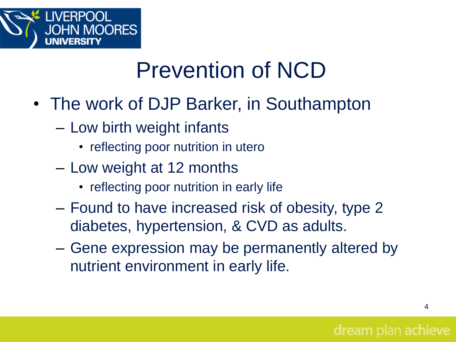

### Prevention of NCD

- The work of DJP Barker, in Southampton
	- Low birth weight infants
		- reflecting poor nutrition in utero
	- Low weight at 12 months
		- reflecting poor nutrition in early life
	- Found to have increased risk of obesity, type 2 diabetes, hypertension, & CVD as adults.
	- Gene expression may be permanently altered by nutrient environment in early life.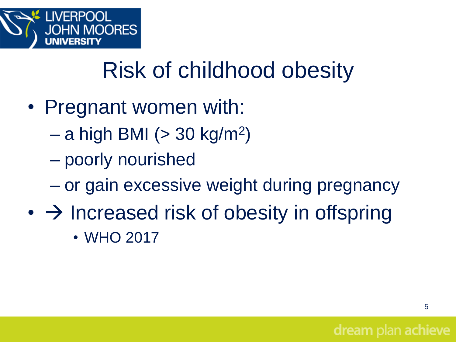

## Risk of childhood obesity

- Pregnant women with:
	- $-$  a high BMI ( $>$  30 kg/m<sup>2</sup>)
	- poorly nourished
	- or gain excessive weight during pregnancy
- $\cdot$   $\rightarrow$  Increased risk of obesity in offspring • WHO 2017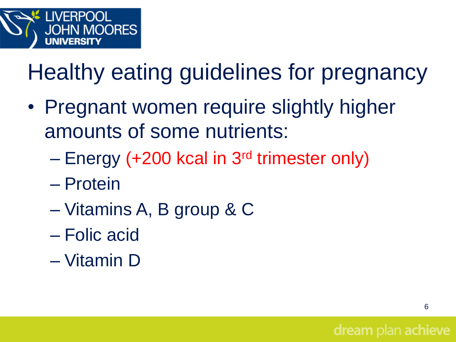

Healthy eating guidelines for pregnancy

- Pregnant women require slightly higher amounts of some nutrients:
	- Energy (+200 kcal in 3rd trimester only)
	- Protein
	- Vitamins A, B group & C
	- Folic acid
	- Vitamin D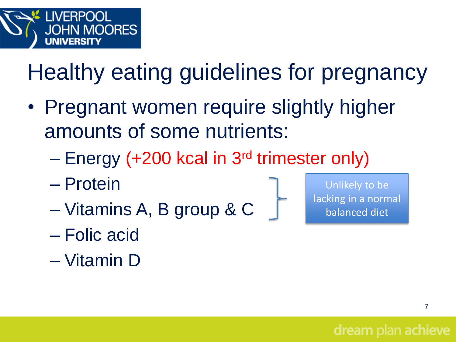

Healthy eating guidelines for pregnancy

- Pregnant women require slightly higher amounts of some nutrients:
	- Energy (+200 kcal in 3rd trimester only)
	- Protein
	- Vitamins A, B group & C
	- Folic acid
	- Vitamin D

Unlikely to be lacking in a normal balanced diet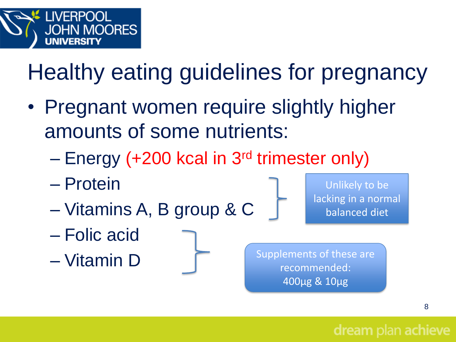

Healthy eating guidelines for pregnancy

- Pregnant women require slightly higher amounts of some nutrients:
	- Energy (+200 kcal in 3rd trimester only)
	- Protein
	- Vitamins A, B group & C
	- Folic acid
	- Vitamin D

Unlikely to be lacking in a normal balanced diet

Supplements of these are recommended: 400µg & 10µg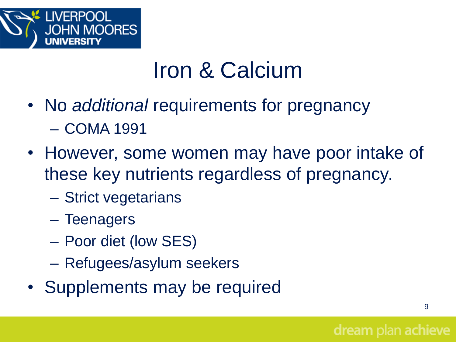

### Iron & Calcium

- No *additional* requirements for pregnancy – COMA 1991
- However, some women may have poor intake of these key nutrients regardless of pregnancy.
	- Strict vegetarians
	- Teenagers
	- Poor diet (low SES)
	- Refugees/asylum seekers
- Supplements may be required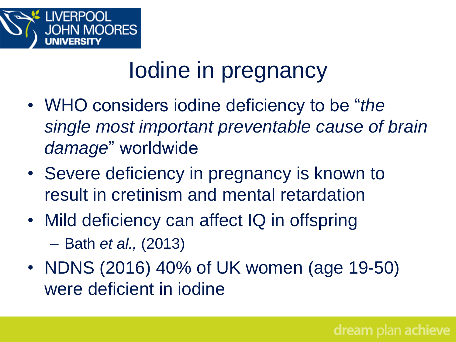

### Iodine in pregnancy

- WHO considers iodine deficiency to be "*the single most important preventable cause of brain damage*" worldwide
- Severe deficiency in pregnancy is known to result in cretinism and mental retardation
- Mild deficiency can affect IQ in offspring – Bath *et al.,* (2013)
- NDNS (2016) 40% of UK women (age 19-50) were deficient in iodine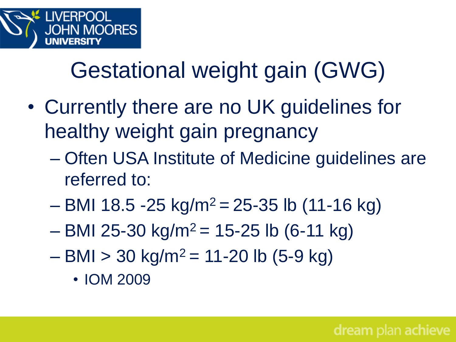

## Gestational weight gain (GWG)

- Currently there are no UK guidelines for healthy weight gain pregnancy
	- Often USA Institute of Medicine guidelines are referred to:
	- $-$  BMI 18.5 -25 kg/m<sup>2</sup> = 25-35 lb (11-16 kg)
	- $-$  BMI 25-30 kg/m<sup>2</sup> = 15-25 lb (6-11 kg)
	- $-$  BMI  $>$  30 kg/m<sup>2</sup> = 11-20 lb (5-9 kg)
		- IOM 2009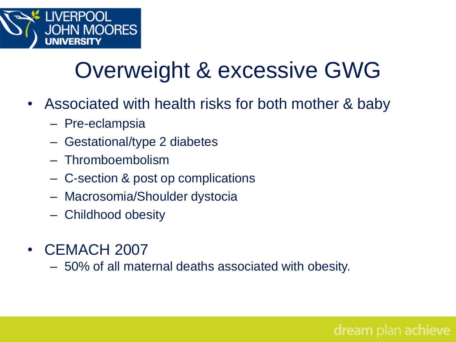

## Overweight & excessive GWG

- Associated with health risks for both mother & baby
	- Pre-eclampsia
	- Gestational/type 2 diabetes
	- Thromboembolism
	- C-section & post op complications
	- Macrosomia/Shoulder dystocia
	- Childhood obesity
- CEMACH 2007
	- 50% of all maternal deaths associated with obesity.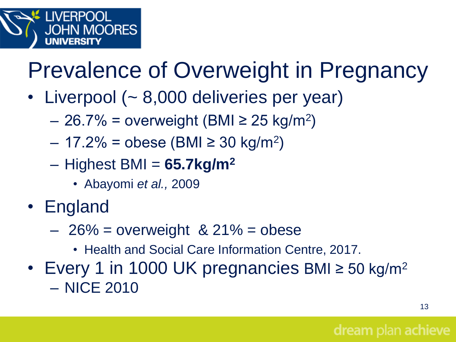

## Prevalence of Overweight in Pregnancy

- Liverpool (~ 8,000 deliveries per year)
	- $-26.7\%$  = overweight (BMI  $\geq 25$  kg/m<sup>2</sup>)
	- $-17.2\%$  = obese (BMI  $\geq 30$  kg/m<sup>2</sup>)
	- Highest BMI = **65.7kg/m<sup>2</sup>**
		- Abayomi *et al.,* 2009
- England
	- $-26\%$  = overweight & 21% = obese
		- Health and Social Care Information Centre, 2017.
- Every 1 in 1000 UK pregnancies BMI  $\geq$  50 kg/m<sup>2</sup> – NICE 2010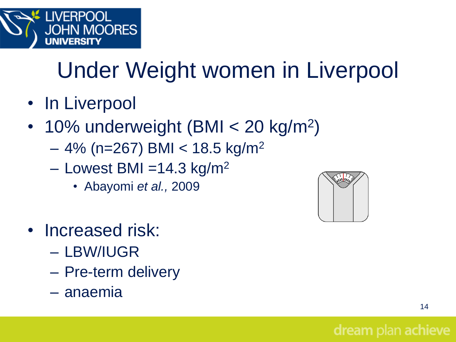

# Under Weight women in Liverpool

- In Liverpool
- 10% underweight (BMI < 20 kg/m<sup>2</sup>)
	- $-4\%$  (n=267) BMI < 18.5 kg/m<sup>2</sup>
	- $-$  Lowest BMI =14.3 kg/m<sup>2</sup>
		- Abayomi *et al.,* 2009



- Increased risk:
	- LBW/IUGR
	- Pre-term delivery
	- anaemia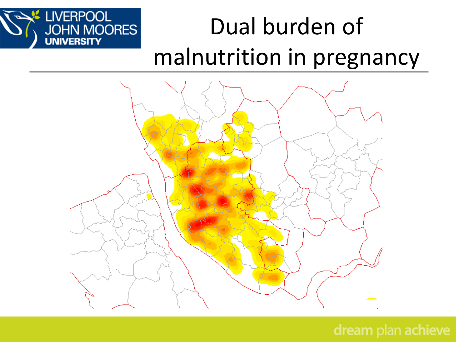

# Dual burden of malnutrition in pregnancy

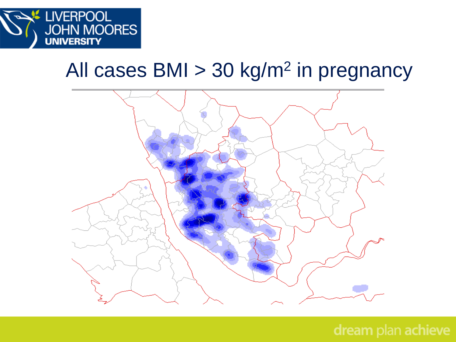

### All cases BMI > 30 kg/m<sup>2</sup> in pregnancy

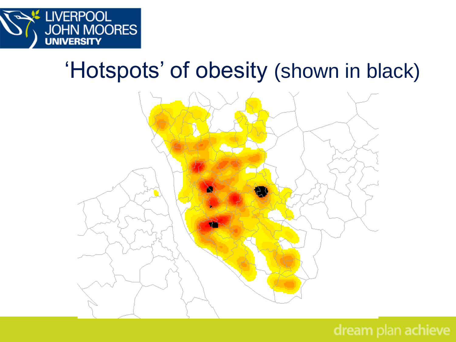

### 'Hotspots' of obesity (shown in black)

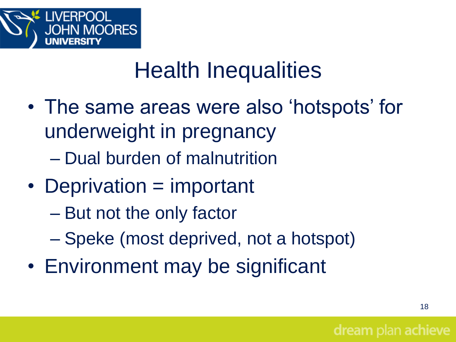

### Health Inequalities

- The same areas were also 'hotspots' for underweight in pregnancy
	- Dual burden of malnutrition
- Deprivation = important
	- But not the only factor
	- Speke (most deprived, not a hotspot)
- Environment may be significant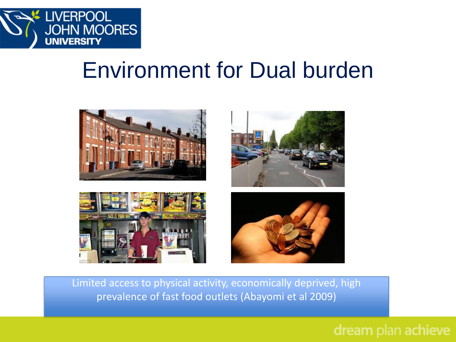

### Environment for Dual burden



Limited access to physical activity, economically deprived, high prevalence of fast food outlets (Abayomi et al 2009)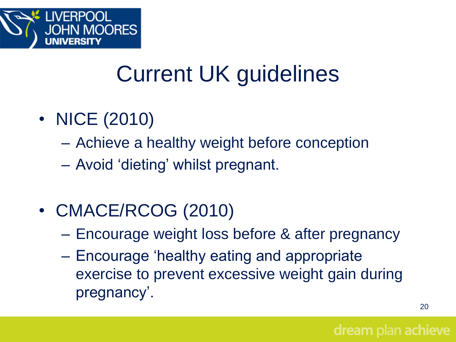

## Current UK guidelines

- NICE (2010)
	- Achieve a healthy weight before conception
	- Avoid 'dieting' whilst pregnant.
- CMACE/RCOG (2010)
	- Encourage weight loss before & after pregnancy
	- Encourage 'healthy eating and appropriate exercise to prevent excessive weight gain during pregnancy'.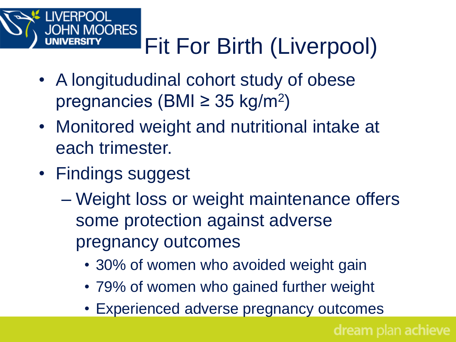

# Fit For Birth (Liverpool)

- A longitududinal cohort study of obese pregnancies (BMI  $\geq$  35 kg/m<sup>2</sup>)
- Monitored weight and nutritional intake at each trimester.
- Findings suggest
	- Weight loss or weight maintenance offers some protection against adverse pregnancy outcomes
		- 30% of women who avoided weight gain
		- 79% of women who gained further weight
		- Experienced adverse pregnancy outcomes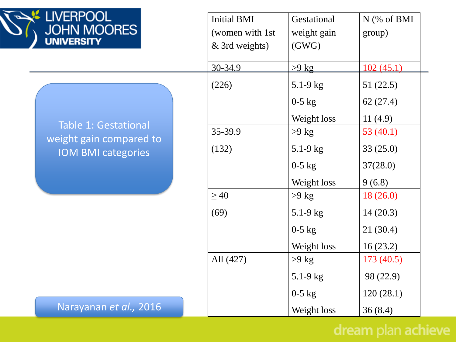| <u>LIVERPOOL</u><br><b>JOHN MOORES</b><br><b>UNIVERSITY</b>                         | <b>Initial BMI</b><br>(women with 1st)<br>& 3rd weights) | Gestational<br>weight gain<br>(GWG)     | $N$ (% of BMI<br>group)         |
|-------------------------------------------------------------------------------------|----------------------------------------------------------|-----------------------------------------|---------------------------------|
|                                                                                     | 30-34.9                                                  | $>9$ kg                                 | 102(45.1)                       |
| <b>Table 1: Gestational</b><br>weight gain compared to<br><b>IOM BMI categories</b> | (226)                                                    | $5.1 - 9$ kg<br>$0-5$ kg<br>Weight loss | 51(22.5)<br>62(27.4)<br>11(4.9) |
|                                                                                     | 35-39.9<br>(132)                                         | $>9$ kg<br>$5.1 - 9$ kg                 | 53 $(40.1)$<br>33(25.0)         |
|                                                                                     |                                                          | $0-5$ kg<br>Weight loss                 | 37(28.0)<br>9(6.8)              |
|                                                                                     | $\geq 40$                                                | $>9$ kg                                 | 18(26.0)                        |
|                                                                                     | (69)                                                     | $5.1 - 9$ kg                            | 14(20.3)                        |
|                                                                                     |                                                          | $0-5$ kg                                | 21(30.4)                        |
|                                                                                     |                                                          | Weight loss                             | 16(23.2)                        |
|                                                                                     | All (427)                                                | $>9$ kg                                 | 173(40.5)                       |
|                                                                                     |                                                          | $5.1 - 9$ kg                            | 98 (22.9)                       |
|                                                                                     |                                                          | $0-5$ kg                                | 120(28.1)                       |
| Narayanan et al., 2016                                                              |                                                          | Weight loss                             | 36(8.4)                         |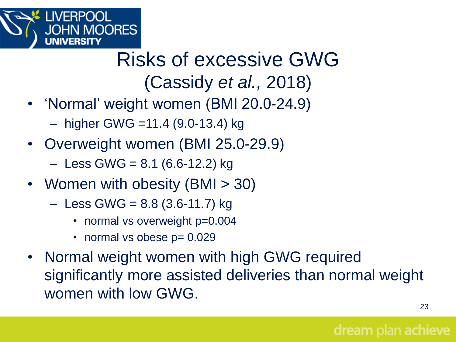

### Risks of excessive GWG (Cassidy *et al.,* 2018)

- 'Normal' weight women (BMI 20.0-24.9)
	- higher GWG =11.4 (9.0-13.4) kg
- Overweight women (BMI 25.0-29.9)

 $-$  Less GWG = 8.1 (6.6-12.2) kg

- Women with obesity (BMI > 30)
	- $-$  Less GWG = 8.8 (3.6-11.7) kg
		- normal vs overweight p=0.004
		- normal vs obese p= 0.029
- Normal weight women with high GWG required significantly more assisted deliveries than normal weight women with low GWG.

23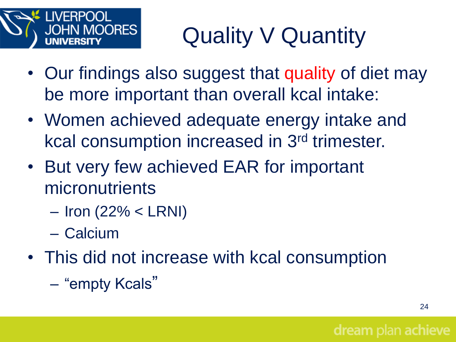

# Quality V Quantity

- Our findings also suggest that quality of diet may be more important than overall kcal intake:
- Women achieved adequate energy intake and kcal consumption increased in 3rd trimester.
- But very few achieved EAR for important micronutrients
	- Iron (22% < LRNI)
	- Calcium
- This did not increase with kcal consumption
	- "empty Kcals"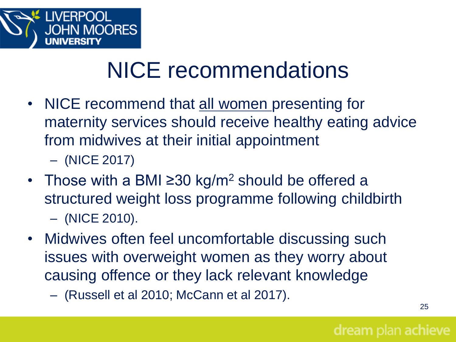

### NICE recommendations

- NICE recommend that all women presenting for maternity services should receive healthy eating advice from midwives at their initial appointment
	- (NICE 2017)
- Those with a BMI  $\geq$ 30 kg/m<sup>2</sup> should be offered a structured weight loss programme following childbirth – (NICE 2010).
- Midwives often feel uncomfortable discussing such issues with overweight women as they worry about causing offence or they lack relevant knowledge
	- (Russell et al 2010; McCann et al 2017).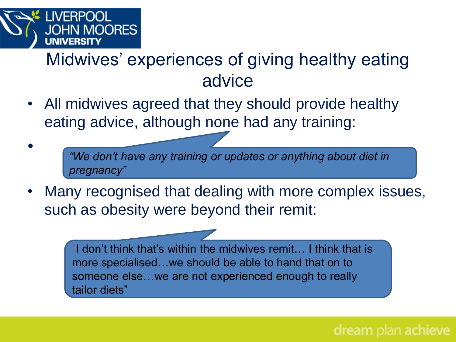

•

### Midwives' experiences of giving healthy eating advice

• All midwives agreed that they should provide healthy eating advice, although none had any training:

> *"We don't have any training or updates or anything about diet in pregnancy"*

Many recognised that dealing with more complex issues, such as obesity were beyond their remit:

> I don't think that's within the midwives remit... I think that is more specialised…we should be able to hand that on to someone else…we are not experienced enough to really tailor diets"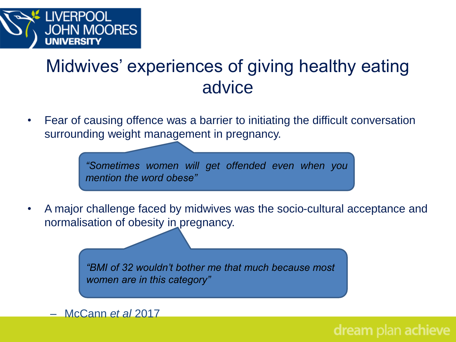

### Midwives' experiences of giving healthy eating advice

• Fear of causing offence was a barrier to initiating the difficult conversation surrounding weight management in pregnancy.

> *"Sometimes women will get offended even when you mention the word obese"*

• A major challenge faced by midwives was the socio-cultural acceptance and normalisation of obesity in pregnancy.

dream plan achieve

*"BMI of 32 wouldn't bother me that much because most women are in this category"*

– McCann *et al* 2017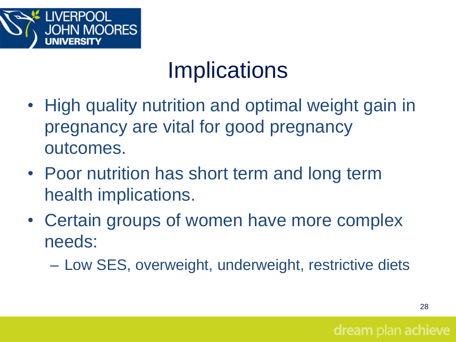

### **Implications**

- High quality nutrition and optimal weight gain in pregnancy are vital for good pregnancy outcomes.
- Poor nutrition has short term and long term health implications.
- Certain groups of women have more complex needs:

– Low SES, overweight, underweight, restrictive diets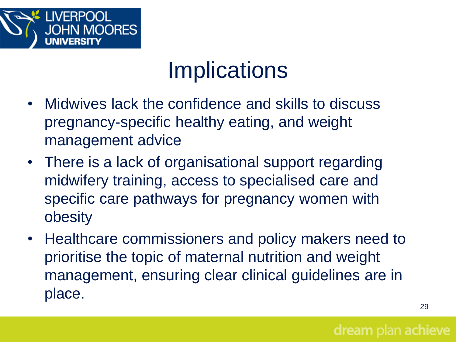

### **Implications**

- Midwives lack the confidence and skills to discuss pregnancy-specific healthy eating, and weight management advice
- There is a lack of organisational support regarding midwifery training, access to specialised care and specific care pathways for pregnancy women with obesity
- Healthcare commissioners and policy makers need to prioritise the topic of maternal nutrition and weight management, ensuring clear clinical guidelines are in place.